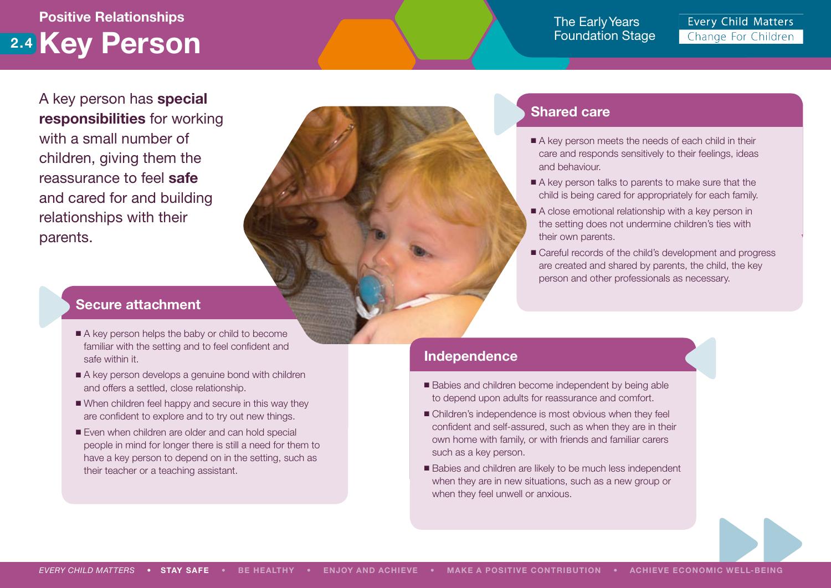# 2.4 Key Person **Positive Relationships**

The Early Years Foundation Stage

**Every Child Matters** Change For Children

A key person has **special responsibilities** for working with a small number of children, giving them the reassurance to feel **safe** and cared for and building relationships with their parents.

#### **Secure attachment**

- A key person helps the baby or child to become familiar with the setting and to feel confident and safe within it.
- A key person develops a genuine bond with children and offers a settled, close relationship.
- When children feel happy and secure in this way they are confident to explore and to try out new things.
- Even when children are older and can hold special people in mind for longer there is still a need for them to have a key person to depend on in the setting, such as their teacher or a teaching assistant.

### **Shared care**

- A key person meets the needs of each child in their care and responds sensitively to their feelings, ideas and behaviour.
- A key person talks to parents to make sure that the child is being cared for appropriately for each family.
- A close emotional relationship with a key person in the setting does not undermine children's ties with their own parents.
- Careful records of the child's development and progress are created and shared by parents, the child, the key person and other professionals as necessary.

#### **Independence**

- Babies and children become independent by being able to depend upon adults for reassurance and comfort.
- Children's independence is most obvious when they feel confident and self-assured, such as when they are in their own home with family, or with friends and familiar carers such as a key person.
- Babies and children are likely to be much less independent when they are in new situations, such as a new group or when they feel unwell or anxious.